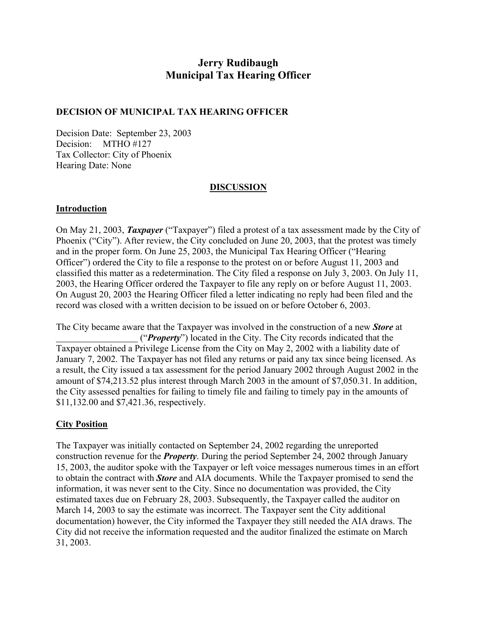# **Jerry Rudibaugh Municipal Tax Hearing Officer**

#### **DECISION OF MUNICIPAL TAX HEARING OFFICER**

Decision Date: September 23, 2003 Decision: MTHO #127 Tax Collector: City of Phoenix Hearing Date: None

#### **DISCUSSION**

#### **Introduction**

On May 21, 2003, *Taxpayer* ("Taxpayer") filed a protest of a tax assessment made by the City of Phoenix ("City"). After review, the City concluded on June 20, 2003, that the protest was timely and in the proper form. On June 25, 2003, the Municipal Tax Hearing Officer ("Hearing Officer") ordered the City to file a response to the protest on or before August 11, 2003 and classified this matter as a redetermination. The City filed a response on July 3, 2003. On July 11, 2003, the Hearing Officer ordered the Taxpayer to file any reply on or before August 11, 2003. On August 20, 2003 the Hearing Officer filed a letter indicating no reply had been filed and the record was closed with a written decision to be issued on or before October 6, 2003.

The City became aware that the Taxpayer was involved in the construction of a new *Store* at ("*Property*") located in the City. The City records indicated that the Taxpayer obtained a Privilege License from the City on May 2, 2002 with a liability date of January 7, 2002. The Taxpayer has not filed any returns or paid any tax since being licensed. As a result, the City issued a tax assessment for the period January 2002 through August 2002 in the amount of \$74,213.52 plus interest through March 2003 in the amount of \$7,050.31. In addition, the City assessed penalties for failing to timely file and failing to timely pay in the amounts of \$11,132.00 and \$7,421.36, respectively.

#### **City Position**

The Taxpayer was initially contacted on September 24, 2002 regarding the unreported construction revenue for the *Property*. During the period September 24, 2002 through January 15, 2003, the auditor spoke with the Taxpayer or left voice messages numerous times in an effort to obtain the contract with *Store* and AIA documents. While the Taxpayer promised to send the information, it was never sent to the City. Since no documentation was provided, the City estimated taxes due on February 28, 2003. Subsequently, the Taxpayer called the auditor on March 14, 2003 to say the estimate was incorrect. The Taxpayer sent the City additional documentation) however, the City informed the Taxpayer they still needed the AIA draws. The City did not receive the information requested and the auditor finalized the estimate on March 31, 2003.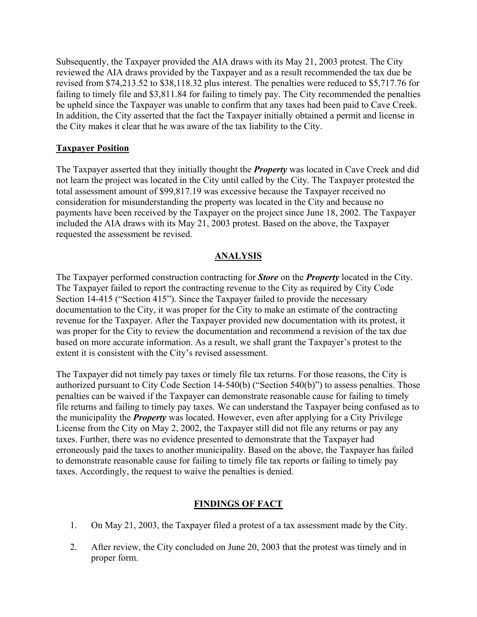Subsequently, the Taxpayer provided the AIA draws with its May 21, 2003 protest. The City reviewed the AIA draws provided by the Taxpayer and as a result recommended the tax due be revised from \$74,213.52 to \$38,118.32 plus interest. The penalties were reduced to \$5,717.76 for failing to timely file and \$3,811.84 for failing to timely pay. The City recommended the penalties be upheld since the Taxpayer was unable to confirm that any taxes had been paid to Cave Creek. In addition, the City asserted that the fact the Taxpayer initially obtained a permit and license in the City makes it clear that he was aware of the tax liability to the City.

### **Taxpayer Position**

The Taxpayer asserted that they initially thought the *Property* was located in Cave Creek and did not learn the project was located in the City until called by the City. The Taxpayer protested the total assessment amount of \$99,817.19 was excessive because the Taxpayer received no consideration for misunderstanding the property was located in the City and because no payments have been received by the Taxpayer on the project since June 18, 2002. The Taxpayer included the AIA draws with its May 21, 2003 protest. Based on the above, the Taxpayer requested the assessment be revised.

## **ANALYSIS**

The Taxpayer performed construction contracting for *Store* on the *Property* located in the City. The Taxpayer failed to report the contracting revenue to the City as required by City Code Section 14-415 ("Section 415"). Since the Taxpayer failed to provide the necessary documentation to the City, it was proper for the City to make an estimate of the contracting revenue for the Taxpayer. After the Taxpayer provided new documentation with its protest, it was proper for the City to review the documentation and recommend a revision of the tax due based on more accurate information. As a result, we shall grant the Taxpayer's protest to the extent it is consistent with the City's revised assessment.

The Taxpayer did not timely pay taxes or timely file tax returns. For those reasons, the City is authorized pursuant to City Code Section 14-540(b) ("Section 540(b)") to assess penalties. Those penalties can be waived if the Taxpayer can demonstrate reasonable cause for failing to timely file returns and failing to timely pay taxes. We can understand the Taxpayer being confused as to the municipality the *Property* was located. However, even after applying for a City Privilege License from the City on May 2, 2002, the Taxpayer still did not file any returns or pay any taxes. Further, there was no evidence presented to demonstrate that the Taxpayer had erroneously paid the taxes to another municipality. Based on the above, the Taxpayer has failed to demonstrate reasonable cause for failing to timely file tax reports or failing to timely pay taxes. Accordingly, the request to waive the penalties is denied.

# **FINDINGS OF FACT**

- 1. On May 21, 2003, the Taxpayer filed a protest of a tax assessment made by the City.
- 2. After review, the City concluded on June 20, 2003 that the protest was timely and in proper form.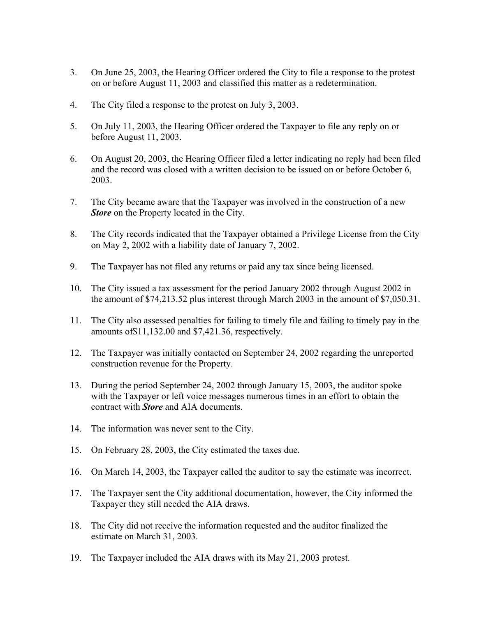- 3. On June 25, 2003, the Hearing Officer ordered the City to file a response to the protest on or before August 11, 2003 and classified this matter as a redetermination.
- 4. The City filed a response to the protest on July 3, 2003.
- 5. On July 11, 2003, the Hearing Officer ordered the Taxpayer to file any reply on or before August 11, 2003.
- 6. On August 20, 2003, the Hearing Officer filed a letter indicating no reply had been filed and the record was closed with a written decision to be issued on or before October 6, 2003.
- 7. The City became aware that the Taxpayer was involved in the construction of a new *Store* on the Property located in the City.
- 8. The City records indicated that the Taxpayer obtained a Privilege License from the City on May 2, 2002 with a liability date of January 7, 2002.
- 9. The Taxpayer has not filed any returns or paid any tax since being licensed.
- 10. The City issued a tax assessment for the period January 2002 through August 2002 in the amount of \$74,213.52 plus interest through March 2003 in the amount of \$7,050.31.
- 11. The City also assessed penalties for failing to timely file and failing to timely pay in the amounts of\$11,132.00 and \$7,421.36, respectively.
- 12. The Taxpayer was initially contacted on September 24, 2002 regarding the unreported construction revenue for the Property.
- 13. During the period September 24, 2002 through January 15, 2003, the auditor spoke with the Taxpayer or left voice messages numerous times in an effort to obtain the contract with *Store* and AIA documents.
- 14. The information was never sent to the City.
- 15. On February 28, 2003, the City estimated the taxes due.
- 16. On March 14, 2003, the Taxpayer called the auditor to say the estimate was incorrect.
- 17. The Taxpayer sent the City additional documentation, however, the City informed the Taxpayer they still needed the AIA draws.
- 18. The City did not receive the information requested and the auditor finalized the estimate on March 31, 2003.
- 19. The Taxpayer included the AIA draws with its May 21, 2003 protest.